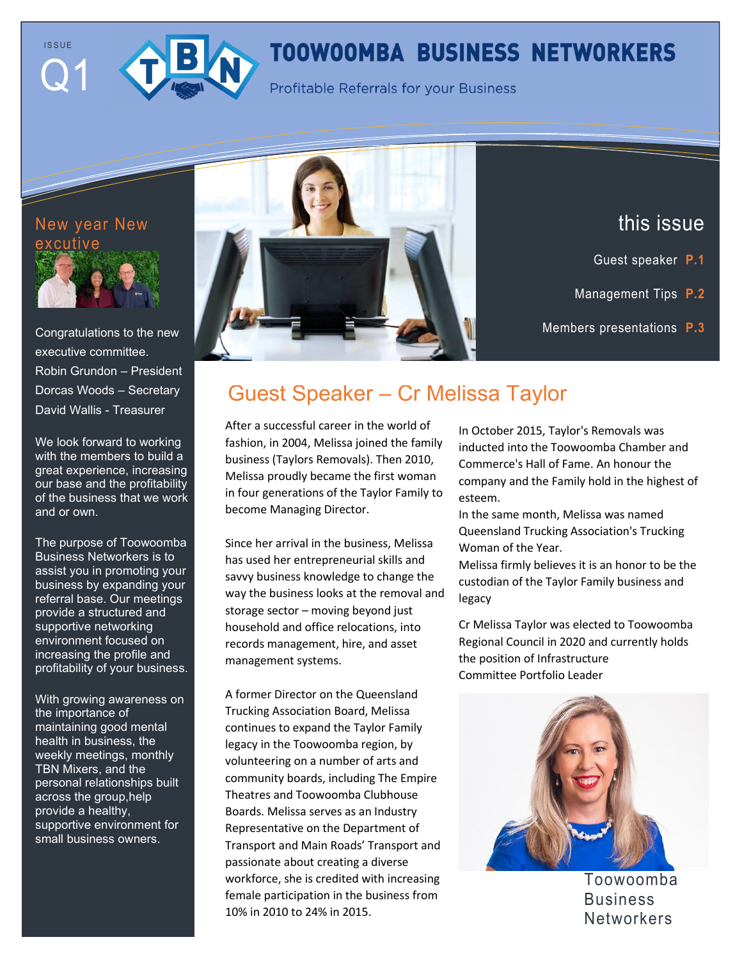



# **TOOWOOMBA BUSINESS NETWORKERS**

**Profitable Referrals for your Business** 



Congratulations to the new executive committee. Robin Grundon – President Dorcas Woods – Secretary David Wallis - Treasurer

We look forward to working with the members to build a great experience, increasing our base and the profitability of the business that we work and or own.

The purpose of Toowoomba Business Networkers is to assist you in promoting your business by expanding your referral base. Our meetings provide a structured and supportive networking environment focused on increasing the profile and profitability of your business.

With growing awareness on the importance of maintaining good mental health in business, the weekly meetings, monthly TBN Mixers, and the personal relationships built across the group,help provide a healthy, supportive environment for small business owners.



this issue

- Guest speaker **P.1**
- Management Tips **P.2**

Members presentations **P.3**

Trends & New Software **P.4**

# Guest Speaker – Cr Melissa Taylor

After a successful career in the world of fashion, in 2004, Melissa joined the family business (Taylors Removals). Then 2010, Melissa proudly became the first woman in four generations of the Taylor Family to become Managing Director.

Since her arrival in the business, Melissa has used her entrepreneurial skills and savvy business knowledge to change the way the business looks at the removal and storage sector – moving beyond just household and office relocations, into records management, hire, and asset management systems.

A former Director on the Queensland Trucking Association Board, Melissa continues to expand the Taylor Family legacy in the Toowoomba region, by volunteering on a number of arts and community boards, including The Empire Theatres and Toowoomba Clubhouse Boards. Melissa serves as an Industry Representative on the Department of Transport and Main Roads' Transport and passionate about creating a diverse workforce, she is credited with increasing female participation in the business from 10% in 2010 to 24% in 2015.

In October 2015, Taylor's Removals was inducted into the Toowoomba Chamber and Commerce's Hall of Fame. An honour the company and the Family hold in the highest of esteem.

In the same month, Melissa was named Queensland Trucking Association's Trucking Woman of the Year.

Melissa firmly believes it is an honor to be the custodian of the Taylor Family business and legacy

Cr Melissa Taylor was elected to Toowoomba Regional Council in 2020 and currently holds the position of Infrastructure Committee Portfolio Leader



Toowoomba Business **Networkers**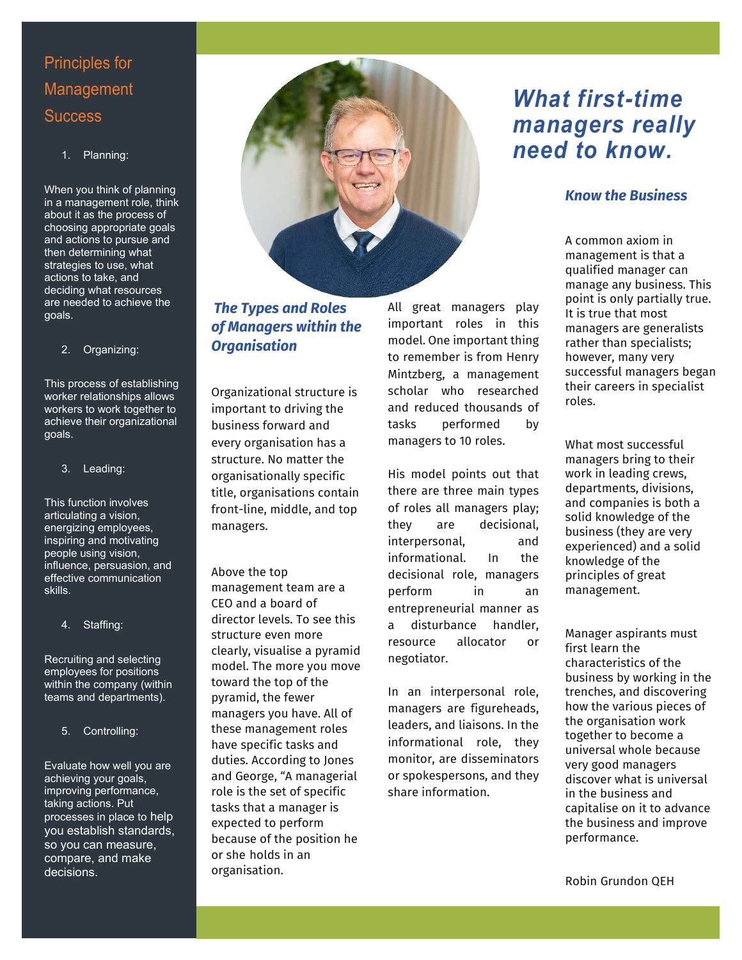## Principles for Management **Success**

#### 1. Planning:

When you think of planning in a management role, think about it as the process of choosing appropriate goals and actions to pursue and then determining what strategies to use, what actions to take, and deciding what resources are needed to achieve the goals.

#### 2. Organizing:

This process of establishing worker relationships allows workers to work together to achieve their organizational goals.

#### 3. Leading:

This function involves articulating a vision, energizing employees, inspiring and motivating people using vision, influence, persuasion, and effective communication skills.

#### 4. Staffing:

Recruiting and selecting employees for positions within the company (within teams and departments).

#### 5. Controlling:

Evaluate how well you are achieving your goals, improving performance, taking actions. Put processes in place to help you establish standards, so you can measure, compare, and make decisions.



### *The Types and Roles of Managers within the Organisation*

Organizational structure is important to driving the business forward and every organisation has a structure. No matter the organisationally specific title, organisations contain front-line, middle, and top managers.

Above the top

management team are a CEO and a board of director levels. To see this structure even more clearly, visualise a pyramid model. The more you move toward the top of the pyramid, the fewer managers you have. All of these management roles have specific tasks and duties. According to Jones and George, "A managerial role is the set of specific tasks that a manager is expected to perform because of the position he or she holds in an organisation.

All great managers play important roles in this model. One important thing to remember is from Henry Mintzberg, a management scholar who researched and reduced thousands of tasks performed by managers to 10 roles.

His model points out that there are three main types of roles all managers play; they are decisional, interpersonal, and informational. In the decisional role, managers perform in an entrepreneurial manner as a disturbance handler, resource allocator or negotiator.

In an interpersonal role, managers are figureheads, leaders, and liaisons. In the informational role, they monitor, are disseminators or spokespersons, and they share information.

# *What first-time managers really need to know.*

### *Know the Business*

A common axiom in management is that a qualified manager can manage any business. This point is only partially true. It is true that most managers are generalists rather than specialists; however, many very successful managers began their careers in specialist roles.

What most successful managers bring to their work in leading crews, departments, divisions, and companies is both a solid knowledge of the business (they are very experienced) and a solid knowledge of the principles of great management.

Manager aspirants must first learn the characteristics of the business by working in the trenches, and discovering how the various pieces of the organisation work together to become a universal whole because very good managers discover what is universal in the business and capitalise on it to advance the business and improve performance.

Robin Grundon QEH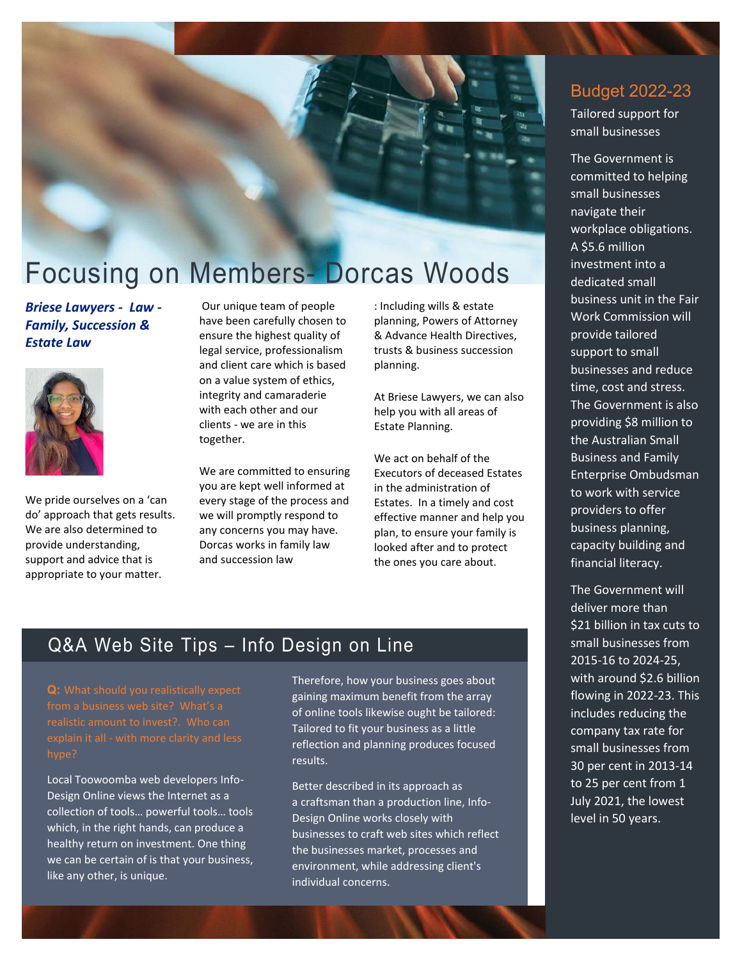

# Focusing on Members- Dorcas Woods

*Briese Lawyers - Law - Family, Succession & Estate Law* 



We pride ourselves on a 'can do' approach that gets results. We are also determined to provide understanding, support and advice that is appropriate to your matter.

Our unique team of people have been carefully chosen to ensure the highest quality of legal service, professionalism and client care which is based on a value system of ethics, integrity and camaraderie with each other and our clients - we are in this together.

We are committed to ensuring you are kept well informed at every stage of the process and we will promptly respond to any concerns you may have. Dorcas works in family law and succession law

: Including wills & estate planning, Powers of Attorney & Advance Health Directives, trusts & business succession planning.

At Briese Lawyers, we can also help you with all areas of Estate Planning.

We act on behalf of the Executors of deceased Estates in the administration of Estates. In a timely and cost effective manner and help you plan, to ensure your family is looked after and to protect the ones you care about.

## Q&A Web Site Tips – Info Design on Line

Local Toowoomba web developers Info-Design Online views the Internet as a collection of tools… powerful tools… tools which, in the right hands, can produce a healthy return on investment. One thing we can be certain of is that your business, like any other, is unique.

Therefore, how your business goes about gaining maximum benefit from the array of online tools likewise ought be tailored: Tailored to fit your business as a little reflection and planning produces focused results.

Better described in its approach as a craftsman than a production line, Info-Design Online works closely with businesses to craft web sites which reflect the businesses market, processes and environment, while addressing client's individual concerns.

### Budget 2022-23

Tailored support for small businesses

The Government is committed to helping small businesses navigate their workplace obligations. A \$5.6 million investment into a dedicated small business unit in the Fair Work Commission will provide tailored support to small businesses and reduce time, cost and stress. The Government is also providing \$8 million to the Australian Small Business and Family Enterprise Ombudsman to work with service providers to offer business planning, capacity building and financial literacy.

The Government will deliver more than \$21 billion in tax cuts to small businesses from 2015-16 to 2024-25, with around \$2.6 billion flowing in 2022-23. This includes reducing the company tax rate for small businesses from 30 per cent in 2013-14 to 25 per cent from 1 July 2021, the lowest level in 50 years.